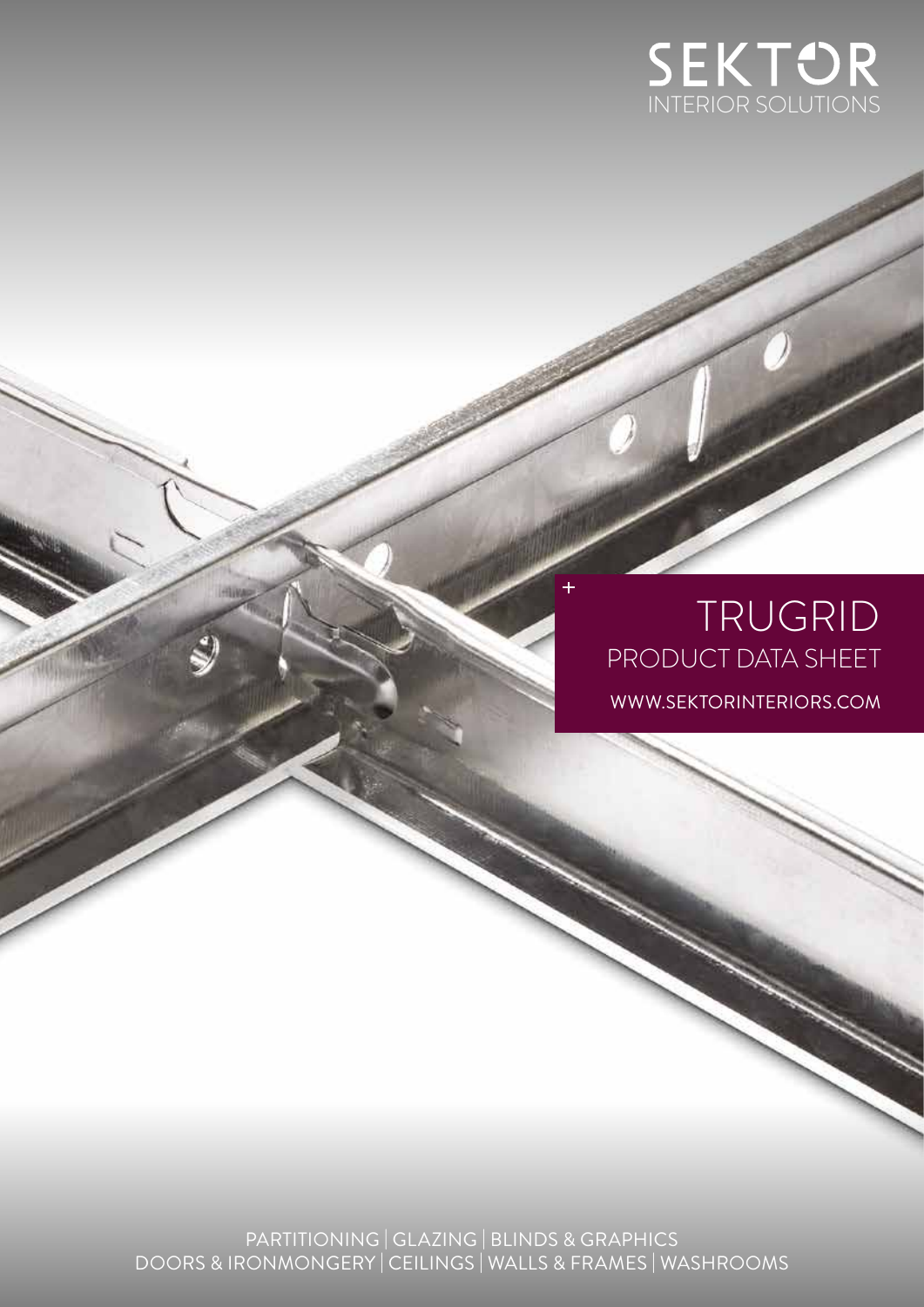

# TRUGRID PRODUCT DATA SHEET WWW.SEKTORINTERIORS.COM

PARTITIONING | GLAZING | BLINDS & GRAPHICS DOORS & IRONMONGERY | CEILINGS | WALLS & FRAMES | WASHROOMS

州